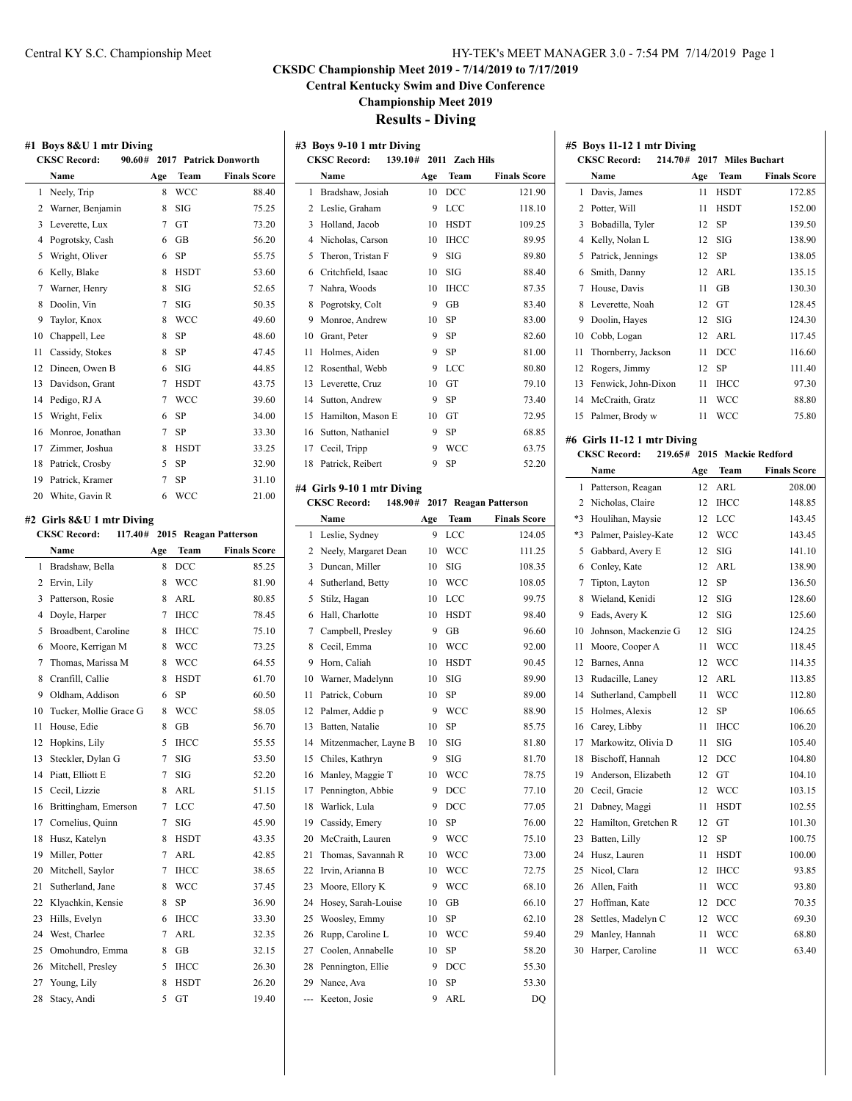# **CKSDC Championship Meet 2019 - 7/14/2019 to 7/17/2019**

**Central Kentucky Swim and Dive Conference**

**Championship Meet 2019**

# **Results - Diving**

| #1 Boys 8&U 1 mtr Diving                            |        |             |                                               |  | #3 Boys 9-10 1 mtr Diving  |                                                   |             |                               |  | #5 Boys 11-12 1 mtr Diving  |     |             |                             |
|-----------------------------------------------------|--------|-------------|-----------------------------------------------|--|----------------------------|---------------------------------------------------|-------------|-------------------------------|--|-----------------------------|-----|-------------|-----------------------------|
| <b>CKSC Record:</b><br>90.60# 2017 Patrick Donworth |        |             | <b>CKSC Record:</b><br>139.10# 2011 Zach Hils |  |                            | <b>CKSC Record:</b><br>214.70# 2017 Miles Buchart |             |                               |  |                             |     |             |                             |
| Name                                                | Age    | Team        | <b>Finals Score</b>                           |  | Name                       | Age                                               | Team        | <b>Finals Score</b>           |  | Name                        | Age | Team        | <b>Finals Score</b>         |
| 1 Neely, Trip                                       |        | 8 WCC       | 88.40                                         |  | 1 Bradshaw, Josiah         |                                                   | 10 DCC      | 121.90                        |  | 1 Davis, James              |     | 11 HSDT     | 172.85                      |
| 2 Warner, Benjamin                                  |        | $8$ SIG     | 75.25                                         |  | 2 Leslie, Graham           |                                                   | 9 LCC       | 118.10                        |  | 2 Potter, Will              |     | 11 HSDT     | 152.00                      |
| 3 Leverette, Lux                                    |        | $7$ GT      | 73.20                                         |  | 3 Holland, Jacob           |                                                   | 10 HSDT     | 109.25                        |  | 3 Bobadilla, Tyler          |     | 12 SP       | 139.50                      |
| 4 Pogrotsky, Cash                                   |        | $6$ GB      | 56.20                                         |  | 4 Nicholas, Carson         |                                                   | 10 IHCC     | 89.95                         |  | 4 Kelly, Nolan L            | 12  | SIG         | 138.90                      |
| 5 Wright, Oliver                                    |        | 6 SP        | 55.75                                         |  | 5 Theron, Tristan F        |                                                   | $9$ SIG     | 89.80                         |  | 5 Patrick, Jennings         | 12  | SP          | 138.05                      |
| 6 Kelly, Blake                                      | 8      | HSDT        | 53.60                                         |  | 6 Critchfield, Isaac       |                                                   | $10$ SIG    | 88.40                         |  | 6 Smith, Danny              | 12  | ARL         | 135.15                      |
| 7 Warner, Henry                                     | 8      | SIG         | 52.65                                         |  | 7 Nahra, Woods             | 10                                                | IHCC        | 87.35                         |  | 7 House, Davis              | 11  | GB          | 130.30                      |
| 8 Doolin, Vin                                       | $\tau$ | SIG         | 50.35                                         |  | 8 Pogrotsky, Colt          | 9                                                 | GB          | 83.40                         |  | 8 Leverette, Noah           | 12  | GT          | 128.45                      |
| Taylor, Knox<br>9                                   | 8      | <b>WCC</b>  | 49.60                                         |  | 9 Monroe, Andrew           |                                                   | 10 SP       | 83.00                         |  | 9 Doolin, Hayes             | 12  | SIG         | 124.30                      |
| Chappell, Lee<br>10                                 | 8      | -SP         | 48.60                                         |  | 10 Grant, Peter            |                                                   | 9 SP        | 82.60                         |  | 10 Cobb, Logan              | 12  | ARL         | 117.45                      |
| 11 Cassidy, Stokes                                  | 8      | SP          | 47.45                                         |  | 11 Holmes, Aiden           |                                                   | 9 SP        | 81.00                         |  | 11 Thornberry, Jackson      | 11  | <b>DCC</b>  | 116.60                      |
| 12 Dineen, Owen B                                   |        | $6$ SIG     | 44.85                                         |  | 12 Rosenthal, Webb         |                                                   | 9 LCC       | 80.80                         |  | 12 Rogers, Jimmy            | 12  | SP          | 111.40                      |
| 13 Davidson, Grant                                  |        | 7 HSDT      | 43.75                                         |  | 13 Leverette, Cruz         |                                                   | 10 GT       | 79.10                         |  | 13 Fenwick, John-Dixon      |     | 11 IHCC     | 97.30                       |
| 14 Pedigo, RJ A                                     |        | 7 WCC       | 39.60                                         |  | 14 Sutton, Andrew          | 9                                                 | SP          | 73.40                         |  | 14 McCraith, Gratz          |     | 11 WCC      | 88.80                       |
| Wright, Felix<br>15                                 |        | $6$ SP      | 34.00                                         |  | 15 Hamilton, Mason E       |                                                   | 10 GT       | 72.95                         |  | 15 Palmer, Brody w          |     | 11 WCC      | 75.80                       |
| 16 Monroe, Jonathan                                 |        | $7$ SP      | 33.30                                         |  | 16 Sutton, Nathaniel       |                                                   | 9 SP        | 68.85                         |  |                             |     |             |                             |
| 17 Zimmer, Joshua                                   | 8      | HSDT        | 33.25                                         |  | 17 Cecil, Tripp            |                                                   | 9 WCC       | 63.75                         |  | #6 Girls 11-12 1 mtr Diving |     |             |                             |
| 18 Patrick, Crosby                                  |        | 5 SP        | 32.90                                         |  | 18 Patrick, Reibert        |                                                   | 9 SP        | 52.20                         |  | <b>CKSC Record:</b>         |     |             | 219.65# 2015 Mackie Redford |
| 19 Patrick, Kramer                                  |        | $7$ SP      | 31.10                                         |  |                            |                                                   |             |                               |  | Name                        | Age | Team        | <b>Finals Score</b>         |
| White, Gavin R<br>20                                |        | 6 WCC       | 21.00                                         |  | #4 Girls 9-10 1 mtr Diving |                                                   |             |                               |  | 1 Patterson, Reagan         |     | 12 ARL      | 208.00                      |
|                                                     |        |             |                                               |  | <b>CKSC Record:</b>        |                                                   |             | 148.90# 2017 Reagan Patterson |  | 2 Nicholas, Claire          | 12  | IHCC        | 148.85                      |
| #2 Girls 8&U 1 mtr Diving                           |        |             |                                               |  | Name                       | Age                                               | Team        | <b>Finals Score</b>           |  | *3 Houlihan, Maysie         |     | 12 LCC      | 143.45                      |
| <b>CKSC Record:</b>                                 |        |             | 117.40# 2015 Reagan Patterson                 |  | 1 Leslie, Sydney           |                                                   | 9 LCC       | 124.05                        |  | *3 Palmer, Paisley-Kate     |     | 12 WCC      | 143.45                      |
| Name                                                | Age    | Team        | <b>Finals Score</b>                           |  | 2 Neely, Margaret Dean     |                                                   | 10 WCC      | 111.25                        |  | 5 Gabbard, Avery E          |     | $12$ SIG    | 141.10                      |
| 1 Bradshaw, Bella                                   | 8      | <b>DCC</b>  | 85.25                                         |  | 3 Duncan, Miller           |                                                   | $10$ SIG    | 108.35                        |  | 6 Conley, Kate              |     | 12 ARL      | 138.90                      |
| 2 Ervin, Lily                                       | 8      | <b>WCC</b>  | 81.90                                         |  | 4 Sutherland, Betty        |                                                   | 10 WCC      | 108.05                        |  | 7 Tipton, Layton            |     | 12 SP       | 136.50                      |
| 3 Patterson, Rosie                                  |        | 8 ARL       | 80.85                                         |  | 5 Stilz, Hagan             |                                                   | 10 LCC      | 99.75                         |  | 8 Wieland, Kenidi           | 12  | SIG         | 128.60                      |
| 4 Doyle, Harper                                     |        | 7 IHCC      | 78.45                                         |  | 6 Hall, Charlotte          |                                                   | 10 HSDT     | 98.40                         |  | 9 Eads, Avery K             | 12  | SIG         | 125.60                      |
| 5 Broadbent, Caroline                               | 8      | <b>IHCC</b> | 75.10                                         |  | 7 Campbell, Presley        |                                                   | 9 GB        | 96.60                         |  | 10 Johnson, Mackenzie G     | 12  | SIG         | 124.25                      |
| 6 Moore, Kerrigan M                                 | 8      | <b>WCC</b>  | 73.25                                         |  | 8 Cecil, Emma              | 10                                                | <b>WCC</b>  | 92.00                         |  | 11 Moore, Cooper A          |     | 11 WCC      | 118.45                      |
| 7 Thomas, Marissa M                                 | 8      | <b>WCC</b>  | 64.55                                         |  | 9 Horn, Caliah             | 10                                                | <b>HSDT</b> | 90.45                         |  | 12 Barnes, Anna             | 12  | <b>WCC</b>  | 114.35                      |
| 8 Cranfill, Callie                                  | 8      | <b>HSDT</b> | 61.70                                         |  | 10 Warner, Madelynn        |                                                   | $10$ SIG    | 89.90                         |  | 13 Rudacille, Laney         | 12  | ARL         | 113.85                      |
| 9 Oldham, Addison                                   |        | 6 SP        | 60.50                                         |  | 11 Patrick, Coburn         |                                                   | 10 SP       | 89.00                         |  | 14 Sutherland, Campbell     | 11  | <b>WCC</b>  | 112.80                      |
| Tucker, Mollie Grace G<br>10                        |        | 8 WCC       | 58.05                                         |  | 12 Palmer, Addie p         |                                                   | 9 WCC       | 88.90                         |  | 15 Holmes, Alexis           |     | 12 SP       | 106.65                      |
| 11 House, Edie                                      |        | 8 GB        | 56.70                                         |  | 13 Batten, Natalie         |                                                   | 10 SP       | 85.75                         |  | 16 Carey, Libby             | 11  | IHCC        | 106.20                      |
| 12 Hopkins, Lily                                    |        | 5 IHCC      | 55.55                                         |  | 14 Mitzenmacher, Layne B   |                                                   | $10$ SIG    | 81.80                         |  | 17 Markowitz, Olivia D      |     | $11$ SIG    | 105.40                      |
| 13 Steckler, Dylan G                                |        | $7$ SIG     | 53.50                                         |  | 15 Chiles, Kathryn         |                                                   | $9$ SIG     | 81.70                         |  | 18 Bischoff, Hannah         |     | 12 DCC      | 104.80                      |
| 14 Piatt, Elliott E                                 |        | $7$ SIG     | 52.20                                         |  | 16 Manley, Maggie T        |                                                   | 10 WCC      | 78.75                         |  | 19 Anderson, Elizabeth      |     | 12 GT       | 104.10                      |
| 15 Cecil, Lizzie                                    |        | 8 ARL       | 51.15                                         |  | 17 Pennington, Abbie       |                                                   | 9 DCC       | 77.10                         |  | 20 Cecil, Gracie            |     | 12 WCC      | 103.15                      |
|                                                     |        |             |                                               |  |                            |                                                   |             |                               |  |                             |     |             |                             |
| Brittingham, Emerson<br>16                          |        | 7 LCC       | 47.50                                         |  | 18 Warlick, Lula           |                                                   | 9 DCC       | 77.05                         |  | 21 Dabney, Maggi            | 11  | HSDT        | 102.55                      |
| 17 Cornelius, Quinn                                 |        | $7$ SIG     | 45.90                                         |  | 19 Cassidy, Emery          |                                                   | 10 SP       | 76.00                         |  | 22 Hamilton, Gretchen R     | 12  | GT          | 101.30                      |
| 18 Husz, Katelyn                                    |        | 8 HSDT      | 43.35                                         |  | 20 McCraith, Lauren        |                                                   | 9 WCC       | 75.10                         |  | 23 Batten, Lilly            | 12  | SP          | 100.75                      |
| 19 Miller, Potter                                   |        | 7 ARL       | 42.85                                         |  | 21 Thomas, Savannah R      |                                                   | 10 WCC      | 73.00                         |  | 24 Husz, Lauren             | 11  | <b>HSDT</b> | 100.00                      |
| Mitchell, Saylor<br>20                              | $\tau$ | <b>IHCC</b> | 38.65                                         |  | 22 Irvin, Arianna B        |                                                   | 10 WCC      | 72.75                         |  | 25 Nicol, Clara             | 12  | <b>IHCC</b> | 93.85                       |
| Sutherland, Jane<br>21                              |        | 8 WCC       | 37.45                                         |  | 23 Moore, Ellory K         |                                                   | 9 WCC       | 68.10                         |  | 26 Allen, Faith             | 11  | <b>WCC</b>  | 93.80                       |
| 22 Klyachkin, Kensie                                |        | 8 SP        | 36.90                                         |  | 24 Hosey, Sarah-Louise     |                                                   | 10 GB       | 66.10                         |  | 27 Hoffman, Kate            |     | 12 DCC      | 70.35                       |
| 23 Hills, Evelyn                                    |        | 6 IHCC      | 33.30                                         |  | 25 Woosley, Emmy           |                                                   | 10 SP       | 62.10                         |  | 28 Settles, Madelyn C       |     | 12 WCC      | 69.30                       |
| 24 West, Charlee                                    |        | 7 ARL       | 32.35                                         |  | 26 Rupp, Caroline L        |                                                   | 10 WCC      | 59.40                         |  | 29 Manley, Hannah           |     | 11 WCC      | 68.80                       |
| 25 Omohundro, Emma                                  |        | 8 GB        | 32.15                                         |  | 27 Coolen, Annabelle       |                                                   | 10 SP       | 58.20                         |  | 30 Harper, Caroline         |     | 11 WCC      | 63.40                       |
| 26 Mitchell, Presley                                |        | 5 IHCC      | 26.30                                         |  | 28 Pennington, Ellie       |                                                   | 9 DCC       | 55.30                         |  |                             |     |             |                             |
| 27 Young, Lily                                      |        | 8 HSDT      | 26.20                                         |  | 29 Nance, Ava              |                                                   | 10 SP       | 53.30                         |  |                             |     |             |                             |
| 28 Stacy, Andi                                      |        | 5 GT        | 19.40                                         |  | --- Keeton, Josie          |                                                   | 9 ARL       | DQ                            |  |                             |     |             |                             |